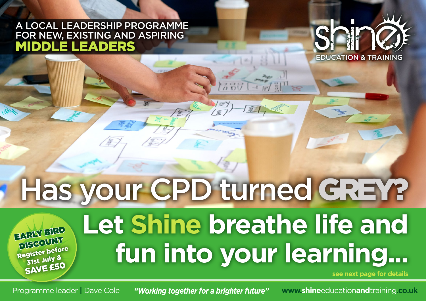## A LOCAL LEADERSHIP PROGRAMME FOR NEW, EXISTING AND ASPIRING MIDDLE LEADERS



# Has your CPD turned GREY?

Register before 31st July & SAVE £50 EARLY BIRD DISCOUNT

## **Let Shine breathe life and fun into your learning...**

**see next page for details**

Programme leader | Dave Cole **"Working together for a brighter future"** www.**shine**education**and**training.co.uk